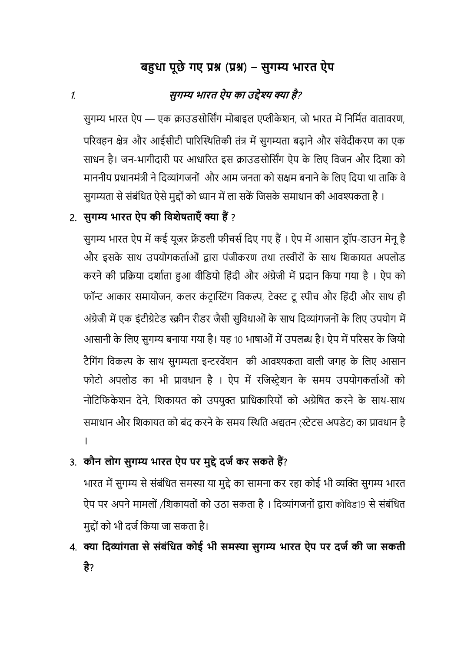# **बहुधा पूछे गए प्रश्न** (**प्रश्न**) - **सुगम्य भारत ऐप**

### 1. **सुगम्य भारत ऐप का उद्देश्य क्या है**?

सुगम्य भारत ऐप — एक क्राउडसोर्सिंग मोबाइल एप्लीकेशन, जो भारत में निर्मित वातावरण, परिवहन क्षेत्र और आईसीटी पारिस्थितिकी तंत्र में सुगम्यता बढाने और संवेदीकरण का एक साधन है। जन-भागीदारी पर आधाररत इस क्राउडसोर्सिंग ऐप के र्लए र्वजन और र्दशा को माननीय प्रधानमंत्री ने दिव्यांगजनों और आम जनता को सक्षम बनाने के लिए दिया था ताकि वे सुगम्यता से संबंधित ऐसे मुद्दों को ध्यान में ला सकें जिसके समाधान की आवश्यकता है ।

### 2. **सुगम्य भारत ऐप की विशेषताएँ क्या हैं** ?

सुगम्य भारत ऐप में कई यूजर फ्रेंडली फीचर्स दिए गए हैं। ऐप में आसान ड्रॉप-डाउन मेनू है और इसके साथ उपयोगकर्ताओं द्वारा पंजीकरण तथा तस्वीरों के साथ शिकायत अपलोड करनेकी प्रर्क्रया दशािता हुआ वीर्डयो र्हंदी और अंग्रेजी मेंप्रदान र्कया गया है। ऐप को फॉन्ट आकार समायोजन, कलर कंट्रास्टिंग विकल्प, टेक्स्ट टू स्पीच और हिंदी और साथ ही अंग्रेजी में एक इंटीग्रेटेड स्क्रीन रीडर जैसी सुविधाओं के साथ दिव्यांगजनों के लिए उपयोग में आसानी के लिए सुगम्य बनाया गया है। यह 10 भाषाओं में उपलब्ध है। ऐप में परिसर के जियो टैगिंग विकल्प के साथ सुगम्यता इन्टरवेंशन) की आवश्यकता वाली जगह के लिए आसान फोटो अपलोड का भी प्रावधान है । ऐप मेंरर्जटरेशन के समय उपयोगकतािओं को नोटिफिकेशन देने, शिकायत को उपयुक्त प्राधिकारियों को अग्रेषित करने के साथ-साथ समाधान और र्शकायत को बंद करनेके समय स्थिर्त अद्यतन (टेटस अपडेट) का प्रावधान है ।

3. **कौन लोग सुगम्य भारत ऐप पर मुद्दे दर्ज कर सकते हैं**?

भारत में सुगम्य से संबंधित समस्या या मुद्दे का सामना कर रहा कोई भी व्यक्ति सुगम्य भारत ऐप पर अपने मामलों /शिकायतों को उठा सकता है। दिव्यांगजनों द्वारा कोविड19 से संबंधित मुद्ोंको भी दजिर्कया जा सकता है।

4. **क्या वदव्ाांगता से सांबांवधत कोई भी समस्या सुगम्य भारत ऐप पर दर्ज की र्ा सकती है**?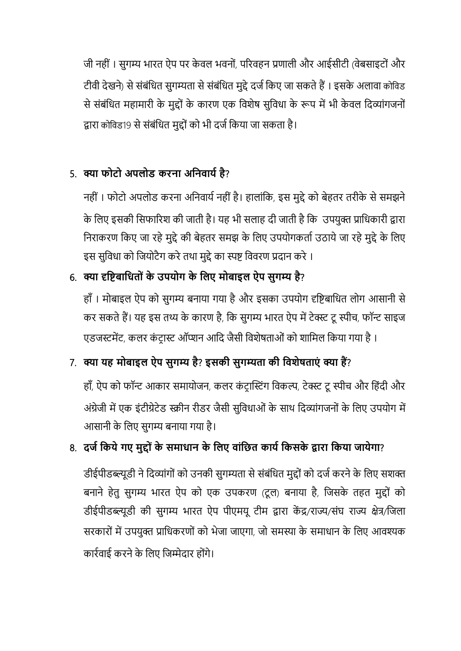जी नही ं। सुगम्य भारत ऐप पर के वल भवनों, पररवहन प्रणाली और आईसीटी (वेबसाइटोंऔर टीवी देखने) से संबंधित सुगम्यता से संबंधित मुद्दे दर्ज किए जा सकते हैं। इसके अलावा कोविड से संबंधित महामारी के मुद्दों के कारण एक विशेष सुविधा के रूप में भी केवल दिव्यांगजनों द्वारा कोर्वड19 सेसंबंर्धत मुद्ोंको भी दजिर्कया जा सकता है।

## 5. **क्या फोटो अपलोड करना अवनिार्ज है**?

नहीं। फोटो अपलोड करना अनिवार्य नहीं है। हालांकि, इस मुद्दे को बेहतर तरीके से समझने के र्लए इसकी र्सफाररश की जाती है। यह भी सलाह दी जाती हैर्क उपयुक्त प्रार्धकारी द्वारा निराकरण किए जा रहे मुद्दे की बेहतर समझ के लिए उपयोगकर्ता उठाये जा रहे मुद्दे के लिए इस सुविधा को जियोटैग करे तथा मुद्दे का स्पष्ट विवरण प्रदान करे ।

## 6. **क्या दृविबावधतो ां के उपर्ोग के वलए मोबाइल ऐप सुगम्य है**?

हाँ। मोबाइल ऐप को सुगम्य बनाया गया है और इसका उपयोग दृष्टिबाधित लोग आसानी से कर सकते हैं। यह इस तथ्य के कारण है, कि सुगम्य भारत ऐप में टेक्स्ट टू स्पीच, फॉन्ट साइज एडजस्टमेंट, कलर कंट्रास्ट ऑप्शन आदि जैसी विशेषताओं को शामिल किया गया है।

## 7. **क्या र्ह मोबाइल ऐप सुगम्य है**? **इसकी सुगम्यता की विशेषताएां क्या हैं**?

हाँ, ऐप को फॉन्ट आकार समायोजन, कलर कंट्रास्टिंग विकल्प, टेक्स्ट टू स्पीच और हिंदी और अंग्रेजी में एक इंटीग्रेटेड स्क्रीन रीडर जैसी सुविधाओं के साथ दिव्यांगजनों के लिए उपयोग में आसानी के र्लए सुगम्य बनाया गया है।

# 8. **दर्ज वकर्े गए मुद्दोां के समाधान के वलए िाांवछत कार्ज वकसके द्वारा वकर्ा र्ार्ेगा**?

डीईपीडब्ल्यूडी ने दिव्यांगों को उनकी सुगम्यता से संबंधित मुद्दों को दर्ज करने के लिए सशक्त बनाने हेतु सुगम्य भारत ऐप को एक उपकरण (टूल) बनाया है, जिसके तहत मुद्दों को डीईपीडब्ल्यूडी की सुगम्य भारत ऐप पीएमयू टीम द्वारा केंद्र/राज्य/संघ राज्य क्षेत्र/जिला सरकारों मेंउपयुक्त प्रार्धकरणों को भेजा जाएगा, जो समस्या के समाधान के र्लए आवश्यक कारिवाई करनेके र्लए र्जम्मेदार होंगे।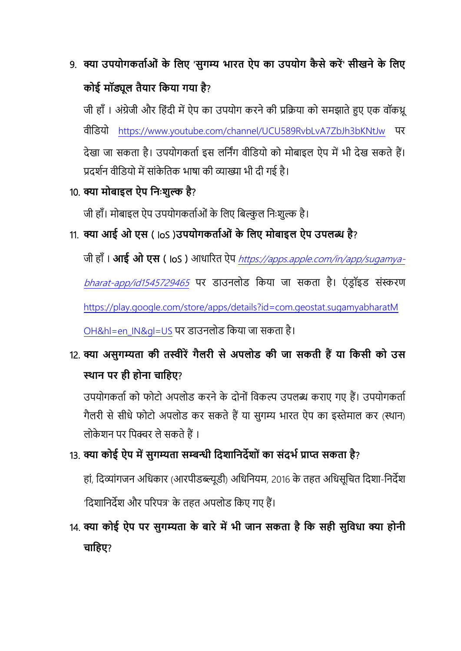# 9. **क्या उपर्ोगकताजओां के वलए** '**सुगम्य भारत ऐप का उपर्ोग कै से करें**' **सीखने के वलए कोई मॉड्यूल तैर्ार वकर्ा गर्ा है**?

जी हाँ। अंग्रेजी और हिंदी में ऐप का उपयोग करने की प्रक्रिया को समझाते हुए एक वॉकथ्र वीर्डयो <https://www.youtube.com/channel/UCU589RvbLvA7ZbJh3bKNtJw> पर देखा जा सकता है। उपयोगकर्ता इस लर्निंग वीडियो को मोबाइल ऐप में भी देख सकते हैं। प्रदर्शन वीडियो में सांकेतिक भाषा की व्याख्या भी दी गई है।

### 10. **क्या मोबाइल ऐप वनिःशुल्क है**?

जी हाँ। मोबाइल ऐप उपयोगकर्ताओं के लिए बिल्कुल निःशुल्क है।

### 11. **क्या आई ओ एस** ( IoS )**उपर्ोगकताजओां के वलए मोबाइल ऐप उपलब्ध है**?

जी हााँ। **आई ओ एस** ( IoS ) आधाररत ऐप [https://apps.apple.com/in/app/sugamya-](https://apps.apple.com/in/app/sugamya-bharat-app/id1545729465)

[bharat-app/id1545729465](https://apps.apple.com/in/app/sugamya-bharat-app/id1545729465) पर डाउनलोड किया जा सकता है। एंडॉइड संस्करण

[https://play.google.com/store/apps/details?id=com.geostat.sugamyabharatM](https://play.google.com/store/apps/details?id=com.geostat.sugamyabharatMOH&hl=en_IN&gl=US)

[OH&hl=en\\_IN&gl=US](https://play.google.com/store/apps/details?id=com.geostat.sugamyabharatMOH&hl=en_IN&gl=US) पर डाउनलोड र्कया जा सकता है।

# 12. **क्या असुगम्यता की तस्वीरें गैलरी से अपलोड की र्ा सकती हैं र्ा वकसी को उस स्थान पर ही होना चावहए**?

उपयोगकर्ता को फोटो अपलोड करने के दोनों विकल्प उपलब्ध कराए गए हैं। उपयोगकर्ता गैलरी से सीधे फोटो अपलोड कर सकते हैं या सुगम्य भारत ऐप का इस्तेमाल कर (स्थान) लोके शन पर र्पक्चर लेसकतेहैं।

### 13. **क्या कोई ऐप में सुगम्यता सम्बन्धी वदशावनदेशो ां का सांदभज प्राप्त सकता है**?

हां, र्दव्ांगजन अर्धकार (आरपीडब्ल्यूडी) अर्धर्नयम, 2016 के तहत अर्धसूर्चत र्दशा-र्नदेश 'र्दशार्नदेश और पररपत्र' के तहत अपलोड र्कए गए हैं।

14. **क्या कोई ऐप पर सुगम्यता के बारे में भी र्ान सकता है वक सही सुविधा क्या होनी चावहए**?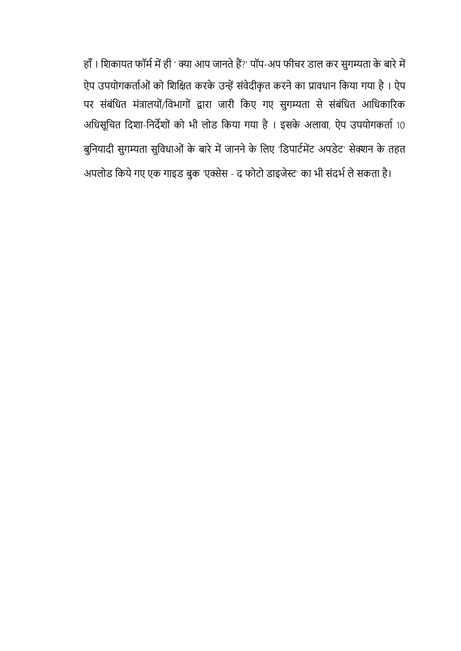हाँ। शिकायत फॉर्म में ही ' क्या आप जानते हैं?' पॉप-अप फीचर डाल कर सुगम्यता के बारे में ऐप उपयोगकर्ताओं को शिक्षित करके उन्हें संवेदीकृत करने का प्रावधान किया गया है। ऐप पर संबंर्धत मंत्रालयों/र्वभागों द्वारा जारी र्कए गए सुगम्यता से संबंर्धत आर्धकाररक अधिसूचित दिशा-निर्देशों को भी लोड किया गया है। इसके अलावा, ऐप उपयोगकर्ता 10 बुर्नयादी सुगम्यता सुर्वधाओं के बारेमेंजाननेके र्लए 'र्डपाटिमेंट अपडेट' सेक्शन के तहत अपलोड किये गए एक गाइड बुक 'एक्सेस - द फोटो डाइजेस्ट' का भी संदर्भ ले सकता है।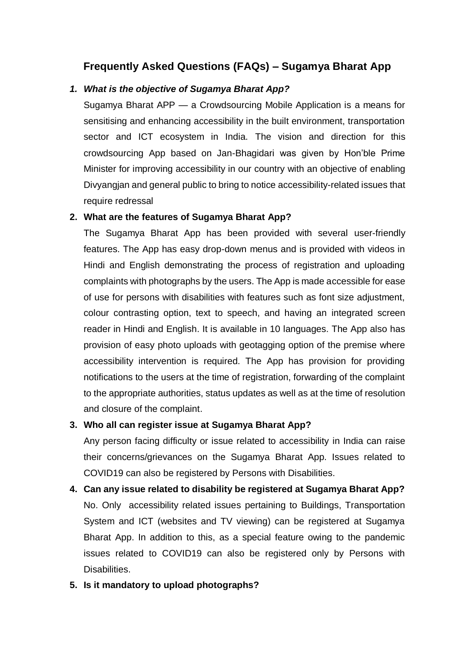### **Frequently Asked Questions (FAQs) – Sugamya Bharat App**

#### *1. What is the objective of Sugamya Bharat App?*

Sugamya Bharat APP — a Crowdsourcing Mobile Application is a means for sensitising and enhancing accessibility in the built environment, transportation sector and ICT ecosystem in India. The vision and direction for this crowdsourcing App based on Jan-Bhagidari was given by Hon'ble Prime Minister for improving accessibility in our country with an objective of enabling Divyangjan and general public to bring to notice accessibility-related issues that require redressal

#### **2. What are the features of Sugamya Bharat App?**

The Sugamya Bharat App has been provided with several user-friendly features. The App has easy drop-down menus and is provided with videos in Hindi and English demonstrating the process of registration and uploading complaints with photographs by the users. The App is made accessible for ease of use for persons with disabilities with features such as font size adjustment, colour contrasting option, text to speech, and having an integrated screen reader in Hindi and English. It is available in 10 languages. The App also has provision of easy photo uploads with geotagging option of the premise where accessibility intervention is required. The App has provision for providing notifications to the users at the time of registration, forwarding of the complaint to the appropriate authorities, status updates as well as at the time of resolution and closure of the complaint.

#### **3. Who all can register issue at Sugamya Bharat App?**

Any person facing difficulty or issue related to accessibility in India can raise their concerns/grievances on the Sugamya Bharat App. Issues related to COVID19 can also be registered by Persons with Disabilities.

- **4. Can any issue related to disability be registered at Sugamya Bharat App?** No. Only accessibility related issues pertaining to Buildings, Transportation System and ICT (websites and TV viewing) can be registered at Sugamya Bharat App. In addition to this, as a special feature owing to the pandemic issues related to COVID19 can also be registered only by Persons with Disabilities.
- **5. Is it mandatory to upload photographs?**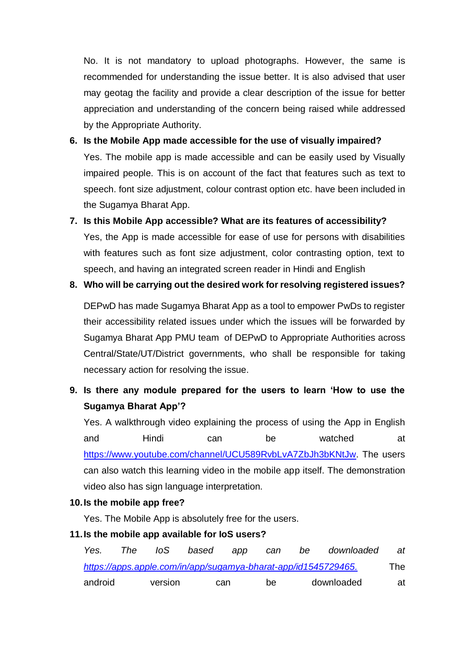No. It is not mandatory to upload photographs. However, the same is recommended for understanding the issue better. It is also advised that user may geotag the facility and provide a clear description of the issue for better appreciation and understanding of the concern being raised while addressed by the Appropriate Authority.

#### **6. Is the Mobile App made accessible for the use of visually impaired?**

Yes. The mobile app is made accessible and can be easily used by Visually impaired people. This is on account of the fact that features such as text to speech. font size adjustment, colour contrast option etc. have been included in the Sugamya Bharat App.

## **7. Is this Mobile App accessible? What are its features of accessibility?** Yes, the App is made accessible for ease of use for persons with disabilities with features such as font size adjustment, color contrasting option, text to speech, and having an integrated screen reader in Hindi and English

# **8. Who will be carrying out the desired work for resolving registered issues?**

DEPwD has made Sugamya Bharat App as a tool to empower PwDs to register their accessibility related issues under which the issues will be forwarded by Sugamya Bharat App PMU team of DEPwD to Appropriate Authorities across Central/State/UT/District governments, who shall be responsible for taking necessary action for resolving the issue.

### **9. Is there any module prepared for the users to learn 'How to use the Sugamya Bharat App'?**

Yes. A walkthrough video explaining the process of using the App in English and Hindi can be watched at [https://www.youtube.com/channel/UCU589RvbLvA7ZbJh3bKNtJw.](https://www.youtube.com/channel/UCU589RvbLvA7ZbJh3bKNtJw) The users can also watch this learning video in the mobile app itself. The demonstration video also has sign language interpretation.

#### **10.Is the mobile app free?**

Yes. The Mobile App is absolutely free for the users.

#### **11.Is the mobile app available for IoS users?**

| Yes.                                                           | The T | loS     | based | app | can | be | downloaded | at  |
|----------------------------------------------------------------|-------|---------|-------|-----|-----|----|------------|-----|
| https://apps.apple.com/in/app/sugamya-bharat-app/id1545729465. |       |         |       |     |     |    |            | The |
| android                                                        |       | version | can   |     | be  |    | downloaded | at  |